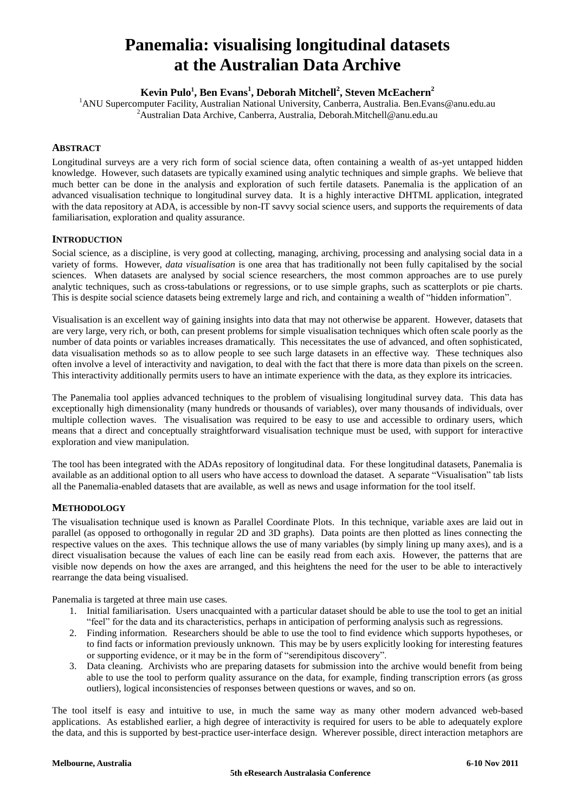# **Panemalia: visualising longitudinal datasets at the Australian Data Archive**

**Kevin Pulo<sup>1</sup> , Ben Evans<sup>1</sup> , Deborah Mitchell<sup>2</sup> , Steven McEachern<sup>2</sup>**

<sup>1</sup>ANU Supercomputer Facility, Australian National University, Canberra, Australia. Ben.Evans@anu.edu.au  ${}^{2}$ Australian Data Archive, Canberra, Australia, Deborah.Mitchell@anu.edu.au

## **ABSTRACT**

Longitudinal surveys are a very rich form of social science data, often containing a wealth of as-yet untapped hidden knowledge. However, such datasets are typically examined using analytic techniques and simple graphs. We believe that much better can be done in the analysis and exploration of such fertile datasets. Panemalia is the application of an advanced visualisation technique to longitudinal survey data. It is a highly interactive DHTML application, integrated with the data repository at ADA, is accessible by non-IT savvy social science users, and supports the requirements of data familiarisation, exploration and quality assurance.

### **INTRODUCTION**

Social science, as a discipline, is very good at collecting, managing, archiving, processing and analysing social data in a variety of forms. However, *data visualisation* is one area that has traditionally not been fully capitalised by the social sciences. When datasets are analysed by social science researchers, the most common approaches are to use purely analytic techniques, such as cross-tabulations or regressions, or to use simple graphs, such as scatterplots or pie charts. This is despite social science datasets being extremely large and rich, and containing a wealth of "hidden information".

Visualisation is an excellent way of gaining insights into data that may not otherwise be apparent. However, datasets that are very large, very rich, or both, can present problems for simple visualisation techniques which often scale poorly as the number of data points or variables increases dramatically. This necessitates the use of advanced, and often sophisticated, data visualisation methods so as to allow people to see such large datasets in an effective way. These techniques also often involve a level of interactivity and navigation, to deal with the fact that there is more data than pixels on the screen. This interactivity additionally permits users to have an intimate experience with the data, as they explore its intricacies.

The Panemalia tool applies advanced techniques to the problem of visualising longitudinal survey data. This data has exceptionally high dimensionality (many hundreds or thousands of variables), over many thousands of individuals, over multiple collection waves. The visualisation was required to be easy to use and accessible to ordinary users, which means that a direct and conceptually straightforward visualisation technique must be used, with support for interactive exploration and view manipulation.

The tool has been integrated with the ADAs repository of longitudinal data. For these longitudinal datasets, Panemalia is available as an additional option to all users who have access to download the dataset. A separate "Visualisation" tab lists all the Panemalia-enabled datasets that are available, as well as news and usage information for the tool itself.

### **METHODOLOGY**

The visualisation technique used is known as Parallel Coordinate Plots. In this technique, variable axes are laid out in parallel (as opposed to orthogonally in regular 2D and 3D graphs). Data points are then plotted as lines connecting the respective values on the axes. This technique allows the use of many variables (by simply lining up many axes), and is a direct visualisation because the values of each line can be easily read from each axis. However, the patterns that are visible now depends on how the axes are arranged, and this heightens the need for the user to be able to interactively rearrange the data being visualised.

Panemalia is targeted at three main use cases.

- 1. Initial familiarisation. Users unacquainted with a particular dataset should be able to use the tool to get an initial "feel" for the data and its characteristics, perhaps in anticipation of performing analysis such as regressions.
- 2. Finding information. Researchers should be able to use the tool to find evidence which supports hypotheses, or to find facts or information previously unknown. This may be by users explicitly looking for interesting features or supporting evidence, or it may be in the form of "serendipitous discovery".
- 3. Data cleaning. Archivists who are preparing datasets for submission into the archive would benefit from being able to use the tool to perform quality assurance on the data, for example, finding transcription errors (as gross outliers), logical inconsistencies of responses between questions or waves, and so on.

The tool itself is easy and intuitive to use, in much the same way as many other modern advanced web-based applications. As established earlier, a high degree of interactivity is required for users to be able to adequately explore the data, and this is supported by best-practice user-interface design. Wherever possible, direct interaction metaphors are